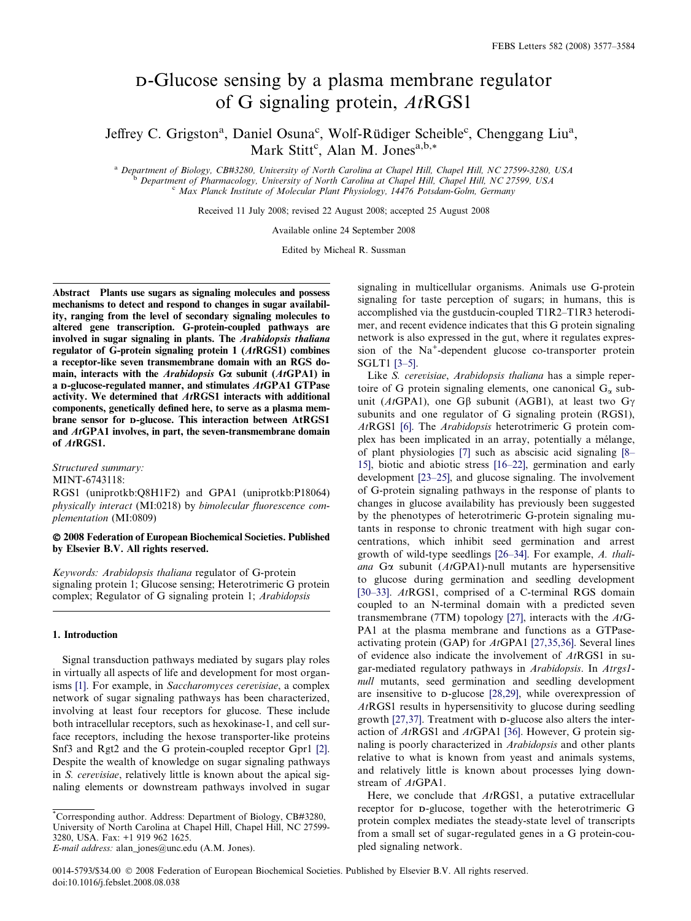# D-Glucose sensing by a plasma membrane regulator of G signaling protein, AtRGS1

Jeffrey C. Grigston<sup>a</sup>, Daniel Osuna<sup>c</sup>, Wolf-Rüdiger Scheible<sup>c</sup>, Chenggang Liu<sup>a</sup>, Mark Stitt<sup>c</sup>, Alan M. Jones<sup>a,b,\*</sup>

<sup>a</sup> Department of Biology, CB#3280, University of North Carolina at Chapel Hill, Chapel Hill, NC 27599-3280, USA<br><sup>b</sup> Department of Pharmacology, University of North Carolina at Chapel Hill, Chapel Hill, NC 27599, USA<br><sup>c</sup>

Received 11 July 2008; revised 22 August 2008; accepted 25 August 2008

Available online 24 September 2008

Edited by Micheal R. Sussman

Abstract Plants use sugars as signaling molecules and possess mechanisms to detect and respond to changes in sugar availability, ranging from the level of secondary signaling molecules to altered gene transcription. G-protein-coupled pathways are involved in sugar signaling in plants. The Arabidopsis thaliana regulator of G-protein signaling protein 1 (AtRGS1) combines a receptor-like seven transmembrane domain with an RGS domain, interacts with the Arabidopsis G $\alpha$  subunit (AtGPA1) in a D-glucose-regulated manner, and stimulates AtGPA1 GTPase activity. We determined that AtRGS1 interacts with additional components, genetically defined here, to serve as a plasma membrane sensor for D-glucose. This interaction between AtRGS1 and AtGPA1 involves, in part, the seven-transmembrane domain of AtRGS1.

Structured summary:

MINT-6743118:

RGS1 (uniprotkb:Q8H1F2) and GPA1 (uniprotkb:P18064) physically interact (MI:0218) by bimolecular fluorescence complementation (MI:0809)

## - 2008 Federation of European Biochemical Societies. Published by Elsevier B.V. All rights reserved.

Keywords: Arabidopsis thaliana regulator of G-protein signaling protein 1; Glucose sensing; Heterotrimeric G protein complex; Regulator of G signaling protein 1; Arabidopsis

## 1. Introduction

Signal transduction pathways mediated by sugars play roles in virtually all aspects of life and development for most organ-isms [\[1\]](#page-6-0). For example, in Saccharomyces cerevisiae, a complex network of sugar signaling pathways has been characterized, involving at least four receptors for glucose. These include both intracellular receptors, such as hexokinase-1, and cell surface receptors, including the hexose transporter-like proteins Snf3 and Rgt2 and the G protein-coupled receptor Gpr1 [\[2\]](#page-6-0). Despite the wealth of knowledge on sugar signaling pathways in S. cerevisiae, relatively little is known about the apical signaling elements or downstream pathways involved in sugar signaling in multicellular organisms. Animals use G-protein signaling for taste perception of sugars; in humans, this is accomplished via the gustducin-coupled T1R2–T1R3 heterodimer, and recent evidence indicates that this G protein signaling network is also expressed in the gut, where it regulates expression of the Na<sup>+</sup>-dependent glucose co-transporter protein SGLT1 [\[3–5\]](#page-6-0).

Like S. cerevisiae, Arabidopsis thaliana has a simple repertoire of G protein signaling elements, one canonical  $G_{\alpha}$  subunit (AtGPA1), one G $\beta$  subunit (AGB1), at least two G $\gamma$ subunits and one regulator of G signaling protein (RGS1), AtRGS1 [\[6\].](#page-6-0) The Arabidopsis heterotrimeric G protein complex has been implicated in an array, potentially a mélange, of plant physiologies [\[7\]](#page-6-0) such as abscisic acid signaling [\[8–](#page-6-0) [15\],](#page-6-0) biotic and abiotic stress [\[16–22\]](#page-6-0), germination and early development [\[23–25\],](#page-6-0) and glucose signaling. The involvement of G-protein signaling pathways in the response of plants to changes in glucose availability has previously been suggested by the phenotypes of heterotrimeric G-protein signaling mutants in response to chronic treatment with high sugar concentrations, which inhibit seed germination and arrest growth of wild-type seedlings [\[26–34\]](#page-6-0). For example, A. thaliana G $\alpha$  subunit (AtGPA1)-null mutants are hypersensitive to glucose during germination and seedling development [\[30–33\].](#page-7-0) AtRGS1, comprised of a C-terminal RGS domain coupled to an N-terminal domain with a predicted seven transmembrane (7TM) topology [\[27\]](#page-6-0), interacts with the  $AtG-$ PA1 at the plasma membrane and functions as a GTPaseactivating protein (GAP) for AtGPA1 [\[27,35,36\].](#page-6-0) Several lines of evidence also indicate the involvement of AtRGS1 in sugar-mediated regulatory pathways in Arabidopsis. In Atrgs1 null mutants, seed germination and seedling development are insensitive to D-glucose [\[28,29\]](#page-6-0), while overexpression of AtRGS1 results in hypersensitivity to glucose during seedling growth [\[27,37\].](#page-6-0) Treatment with D-glucose also alters the interaction of AtRGS1 and AtGPA1 [\[36\].](#page-7-0) However, G protein signaling is poorly characterized in Arabidopsis and other plants relative to what is known from yeast and animals systems, and relatively little is known about processes lying downstream of  $AtGPA1$ .

Here, we conclude that  $AtRGS1$ , a putative extracellular receptor for D-glucose, together with the heterotrimeric G protein complex mediates the steady-state level of transcripts from a small set of sugar-regulated genes in a G protein-coupled signaling network.

<sup>\*</sup> Corresponding author. Address: Department of Biology, CB#3280, University of North Carolina at Chapel Hill, Chapel Hill, NC 27599- 3280, USA. Fax: +1 919 962 1625.

E-mail address: alan\_jones@unc.edu (A.M. Jones).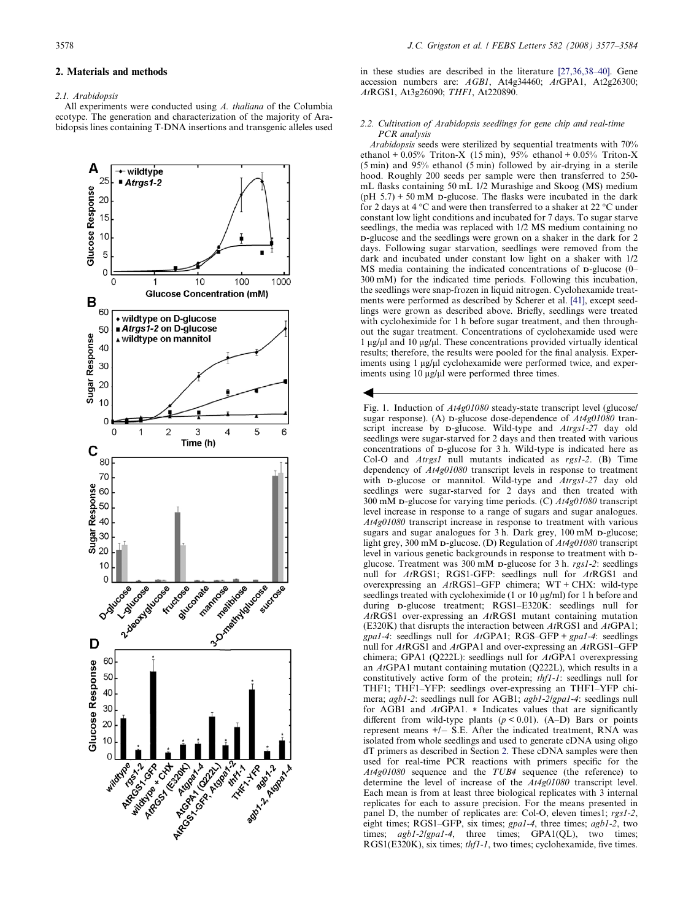## <span id="page-1-0"></span>2. Materials and methods

## 2.1 Arabidonsis

All experiments were conducted using A. thaliana of the Columbia ecotype. The generation and characterization of the majority of Arabidopsis lines containing T-DNA insertions and transgenic alleles used



in these studies are described in the literature [\[27,36,38–40\].](#page-6-0) Gene accession numbers are: AGB1, At4g34460; AtGPA1, At2g26300; AtRGS1, At3g26090; THF1, At220890.

### 2.2. Cultivation of Arabidopsis seedlings for gene chip and real-time PCR analysis

Arabidopsis seeds were sterilized by sequential treatments with 70% ethanol +  $0.05\%$  Triton-X (15 min), 95% ethanol + 0.05% Triton-X (5 min) and 95% ethanol (5 min) followed by air-drying in a sterile hood. Roughly 200 seeds per sample were then transferred to 250 mL flasks containing 50 mL 1/2 Murashige and Skoog (MS) medium  $(pH 5.7) + 50$  mM p-glucose. The flasks were incubated in the dark for 2 days at 4 °C and were then transferred to a shaker at 22 °C under constant low light conditions and incubated for 7 days. To sugar starve seedlings, the media was replaced with 1/2 MS medium containing no D-glucose and the seedlings were grown on a shaker in the dark for 2 days. Following sugar starvation, seedlings were removed from the dark and incubated under constant low light on a shaker with 1/2 MS media containing the indicated concentrations of D-glucose (0– 300 mM) for the indicated time periods. Following this incubation, the seedlings were snap-frozen in liquid nitrogen. Cyclohexamide treatments were performed as described by Scherer et al. [\[41\]](#page-7-0), except seedlings were grown as described above. Briefly, seedlings were treated with cycloheximide for 1 h before sugar treatment, and then throughout the sugar treatment. Concentrations of cyclohexamide used were  $1 \mu$ g/ $\mu$ l and  $10 \mu$ g/ $\mu$ l. These concentrations provided virtually identical results; therefore, the results were pooled for the final analysis. Experiments using 1 µg/µl cyclohexamide were performed twice, and experiments using  $10 \mu g/\mu l$  were performed three times.

 $\blacktriangleleft$ 

Fig. 1. Induction of  $At4g01080$  steady-state transcript level (glucose/ sugar response). (A) p-glucose dose-dependence of  $At4g01080$  transcript increase by **D-glucose**. Wild-type and *Atrgs1-27* day old seedlings were sugar-starved for 2 days and then treated with various concentrations of D-glucose for 3 h. Wild-type is indicated here as Col-O and *Atrgs1* null mutants indicated as rgs1-2. (B) Time dependency of At4g01080 transcript levels in response to treatment with **D-glucose** or mannitol. Wild-type and Atrgs1-27 day old seedlings were sugar-starved for 2 days and then treated with 300 mM D-glucose for varying time periods. (C) At4g01080 transcript level increase in response to a range of sugars and sugar analogues. At4g01080 transcript increase in response to treatment with various sugars and sugar analogues for 3 h. Dark grey, 100 mM D-glucose; light grey, 300 mM D-glucose. (D) Regulation of At4g01080 transcript level in various genetic backgrounds in response to treatment with Dglucose. Treatment was 300 mM D-glucose for 3 h. rgs1-2: seedlings null for AtRGS1; RGS1-GFP: seedlings null for AtRGS1 and overexpressing an AtRGS1–GFP chimera; WT + CHX: wild-type seedlings treated with cycloheximide (1 or 10 µg/ml) for 1 h before and during D-glucose treatment; RGS1–E320K: seedlings null for AtRGS1 over-expressing an AtRGS1 mutant containing mutation (E320K) that disrupts the interaction between  $AtRGS1$  and  $AtGPA1$ ;  $gpal-4$ : seedlings null for  $AtGPA1$ ; RGS–GFP +  $gpal-4$ : seedlings null for AtRGS1 and AtGPA1 and over-expressing an AtRGS1–GFP chimera; GPA1 (Q222L): seedlings null for AtGPA1 overexpressing an AtGPA1 mutant containing mutation (Q222L), which results in a constitutively active form of the protein; thf1-1: seedlings null for THF1; THF1–YFP: seedlings over-expressing an THF1–YFP chimera; agb1-2: seedlings null for AGB1; agb1-2/gpa1-4: seedlings null for AGB1 and AtGPA1. \* Indicates values that are significantly different from wild-type plants  $(p < 0.01)$ . (A–D) Bars or points represent means  $+/-$  S.E. After the indicated treatment, RNA was isolated from whole seedlings and used to generate cDNA using oligo dT primers as described in Section 2. These cDNA samples were then used for real-time PCR reactions with primers specific for the At4g01080 sequence and the TUB4 sequence (the reference) to determine the level of increase of the At4g01080 transcript level. Each mean is from at least three biological replicates with 3 internal replicates for each to assure precision. For the means presented in panel D, the number of replicates are: Col-O, eleven times1; rgs1-2, eight times; RGS1–GFP, six times; gpa1-4, three times; agb1-2, two times; agb1-2/gpa1-4, three times; GPA1(QL), two times; RGS1(E320K), six times; *thf1-1*, two times; cyclohexamide, five times.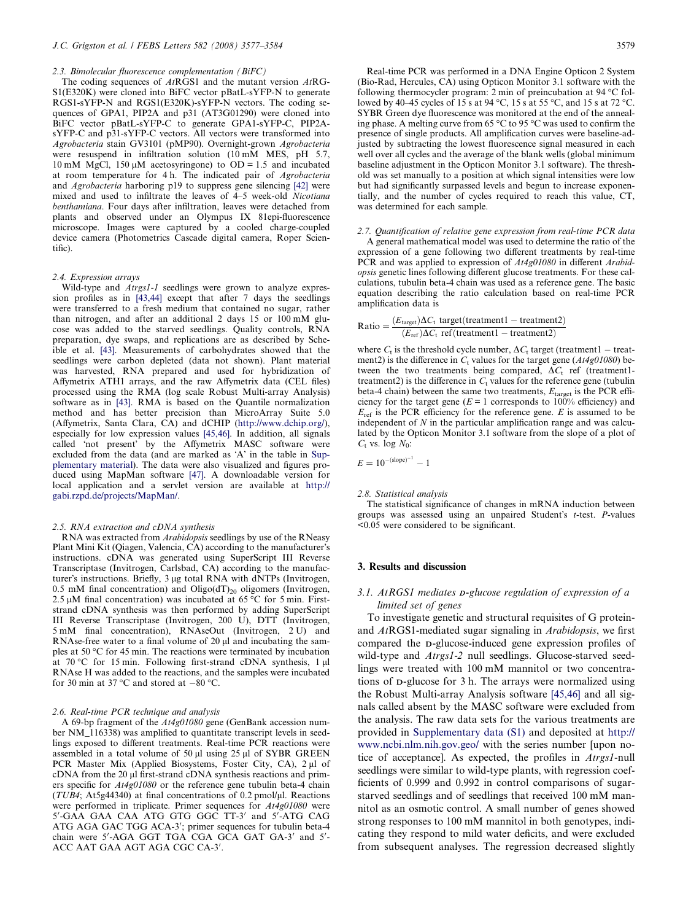#### 2.3. Bimolecular fluorescence complementation (BiFC)

The coding sequences of AtRGS1 and the mutant version AtRG-S1(E320K) were cloned into BiFC vector pBatL-sYFP-N to generate RGS1-sYFP-N and RGS1(E320K)-sYFP-N vectors. The coding sequences of GPA1, PIP2A and p31 (AT3G01290) were cloned into BiFC vector pBatL-sYFP-C to generate GPA1-sYFP-C, PIP2AsYFP-C and p31-sYFP-C vectors. All vectors were transformed into Agrobacteria stain GV3101 (pMP90). Overnight-grown Agrobacteria were resuspend in infiltration solution  $(1\bar{0} \text{ m}\bar{\text{M}} \text{ MES}, pH 5.7)$ , 10 mM MgCl, 150  $\mu$ M acetosyringone) to OD = 1.5 and incubated at room temperature for 4 h. The indicated pair of Agrobacteria and Agrobacteria harboring p19 to suppress gene silencing [\[42\]](#page-7-0) were mixed and used to infiltrate the leaves of 4–5 week-old Nicotiana benthamiana. Four days after infiltration, leaves were detached from plants and observed under an Olympus IX 81epi-fluorescence microscope. Images were captured by a cooled charge-coupled device camera (Photometrics Cascade digital camera, Roper Scientific).

#### 2.4. Expression arrays

Wild-type and Atrgs1-1 seedlings were grown to analyze expression profiles as in [\[43,44\]](#page-7-0) except that after 7 days the seedlings were transferred to a fresh medium that contained no sugar, rather than nitrogen, and after an additional 2 days 15 or 100 mM glucose was added to the starved seedlings. Quality controls, RNA preparation, dye swaps, and replications are as described by Scheible et al. [\[43\].](#page-7-0) Measurements of carbohydrates showed that the seedlings were carbon depleted (data not shown). Plant material was harvested, RNA prepared and used for hybridization of Affymetrix ATH1 arrays, and the raw Affymetrix data (CEL files) processed using the RMA (log scale Robust Multi-array Analysis) software as in [\[43\].](#page-7-0) RMA is based on the Quantile normalization method and has better precision than MicroArray Suite 5.0 (Affymetrix, Santa Clara, CA) and dCHIP [\(http://www.dchip.org/\)](http://www.dchip.org/), especially for low expression values [\[45,46\].](#page-7-0) In addition, all signals called 'not present' by the Affymetrix MASC software were excluded from the data (and are marked as 'A' in the table in Supplementary material). The data were also visualized and figures produced using MapMan software [\[47\]](#page-7-0). A downloadable version for local application and a servlet version are available at [http://](http://gabi.rzpd.de/projects/MapMan/) [gabi.rzpd.de/projects/MapMan/](http://gabi.rzpd.de/projects/MapMan/).

#### 2.5. RNA extraction and cDNA synthesis

RNA was extracted from Arabidopsis seedlings by use of the RNeasy Plant Mini Kit (Qiagen, Valencia,  $\hat{CA}$ ) according to the manufacturer's instructions. cDNA was generated using SuperScript III Reverse Transcriptase (Invitrogen, Carlsbad, CA) according to the manufacturer's instructions. Briefly, 3 µg total RNA with dNTPs (Invitrogen, 0.5 mM final concentration) and Oligo(dT)<sub>20</sub> oligomers (Invitrogen, 2.5  $\mu$ M final concentration) was incubated at 65 °C for 5 min. Firststrand cDNA synthesis was then performed by adding SuperScript III Reverse Transcriptase (Invitrogen, 200 U), DTT (Invitrogen, 5 mM final concentration), RNAseOut (Invitrogen, 2 U) and RNAse-free water to a final volume of  $20 \mu$ l and incubating the samples at 50  $\degree$ C for 45 min. The reactions were terminated by incubation at  $70^{\circ}$ C for 15 min. Following first-strand cDNA synthesis, 1  $\mu$ l RNAse H was added to the reactions, and the samples were incubated for 30 min at 37 °C and stored at  $-80$  °C.

## 2.6. Real-time PCR technique and analysis

A 69-bp fragment of the At4g01080 gene (GenBank accession number NM\_116338) was amplified to quantitate transcript levels in seedlings exposed to different treatments. Real-time PCR reactions were assembled in a total volume of 50  $\mu$ l using 25  $\mu$ l of SYBR GREEN PCR Master Mix (Applied Biosystems, Foster City, CA), 2 µl of cDNA from the 20 µl first-strand cDNA synthesis reactions and primers specific for  $At4g01080$  or the reference gene tubulin beta-4 chain ( $TUB4$ ; At5g44340) at final concentrations of 0.2 pmol/ $\mu$ l. Reactions were performed in triplicate. Primer sequences for  $At4g01080$  were 5'-GAA GAA CAA ATG GTG GGC TT-3' and 5'-ATG CAG ATG AGA GAC TGG ACA-3'; primer sequences for tubulin beta-4 chain were 5'-AGA GGT TGA CGA GCA GAT GA-3' and 5'-ACC AAT GAA AGT AGA CGC CA-3'.

Real-time PCR was performed in a DNA Engine Opticon 2 System (Bio-Rad, Hercules, CA) using Opticon Monitor 3.1 software with the following thermocycler program:  $2 \text{ min}$  of preincubation at 94 °C followed by 40–45 cycles of 15 s at 94 °C, 15 s at 55 °C, and 15 s at 72 °C. SYBR Green dye fluorescence was monitored at the end of the annealing phase. A melting curve from 65  $\degree$ C to 95  $\degree$ C was used to confirm the presence of single products. All amplification curves were baseline-adjusted by subtracting the lowest fluorescence signal measured in each well over all cycles and the average of the blank wells (global minimum baseline adjustment in the Opticon Monitor 3.1 software). The threshold was set manually to a position at which signal intensities were low but had significantly surpassed levels and begun to increase exponentially, and the number of cycles required to reach this value, CT, was determined for each sample.

#### 2.7. Quantification of relative gene expression from real-time PCR data

A general mathematical model was used to determine the ratio of the expression of a gene following two different treatments by real-time PCR and was applied to expression of  $At4g01080$  in different Arabidopsis genetic lines following different glucose treatments. For these calculations, tubulin beta-4 chain was used as a reference gene. The basic equation describing the ratio calculation based on real-time PCR amplification data is

Ratio = 
$$
\frac{(E_{\text{target}})\Delta C_t \text{ target}(treatment1 - treatment2)}{(E_{\text{ref}})\Delta C_t \text{ ref}(treatment1 - treatment2)}
$$

where  $C_t$  is the threshold cycle number,  $\Delta C_t$  target (treatment1 – treatment2) is the difference in  $C_t$  values for the target gene ( $At4g01080$ ) between the two treatments being compared,  $\Delta C_t$  ref (treatment1treatment2) is the difference in  $C_t$  values for the reference gene (tubulin beta-4 chain) between the same two treatments,  $E_{\text{target}}$  is the PCR efficiency for the target gene ( $E = 1$  corresponds to 100% efficiency) and  $E_{\text{ref}}$  is the PCR efficiency for the reference gene. E is assumed to be independent of  $N$  in the particular amplification range and was calculated by the Opticon Monitor 3.1 software from the slope of a plot of  $C_t$  vs. log  $N_0$ :

$$
E = 10^{-(\text{slope})^{-1}} - 1
$$

#### 2.8. Statistical analysis

The statistical significance of changes in mRNA induction between groups was assessed using an unpaired Student's  $t$ -test.  $P$ -values <0.05 were considered to be significant.

## 3. Results and discussion

# 3.1. AtRGS1 mediates D-glucose regulation of expression of a limited set of genes

To investigate genetic and structural requisites of G proteinand AtRGS1-mediated sugar signaling in Arabidopsis, we first compared the D-glucose-induced gene expression profiles of wild-type and *Atrgs1-2* null seedlings. Glucose-starved seedlings were treated with 100 mM mannitol or two concentrations of D-glucose for 3 h. The arrays were normalized using the Robust Multi-array Analysis software [\[45,46\]](#page-7-0) and all signals called absent by the MASC software were excluded from the analysis. The raw data sets for the various treatments are provided in Supplementary data (S1) and deposited at [http://](http://www.ncbi.nlm.nih.gov.geo/) [www.ncbi.nlm.nih.gov.geo/](http://www.ncbi.nlm.nih.gov.geo/) with the series number [upon notice of acceptance]. As expected, the profiles in Atrgs1-null seedlings were similar to wild-type plants, with regression coefficients of 0.999 and 0.992 in control comparisons of sugarstarved seedlings and of seedlings that received 100 mM mannitol as an osmotic control. A small number of genes showed strong responses to 100 mM mannitol in both genotypes, indicating they respond to mild water deficits, and were excluded from subsequent analyses. The regression decreased slightly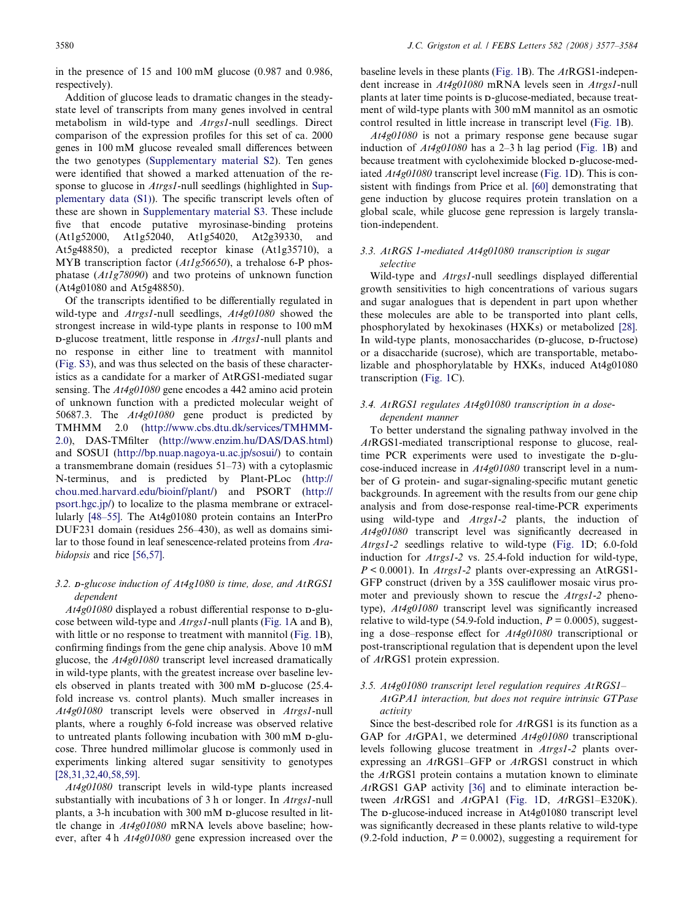in the presence of 15 and 100 mM glucose (0.987 and 0.986, respectively).

Addition of glucose leads to dramatic changes in the steadystate level of transcripts from many genes involved in central metabolism in wild-type and Atrgs1-null seedlings. Direct comparison of the expression profiles for this set of ca. 2000 genes in 100 mM glucose revealed small differences between the two genotypes (Supplementary material S2). Ten genes were identified that showed a marked attenuation of the response to glucose in *Atrgs1*-null seedlings (highlighted in Supplementary data (S1)). The specific transcript levels often of these are shown in Supplementary material S3. These include five that encode putative myrosinase-binding proteins (At1g52000, At1g52040, At1g54020, At2g39330, and At5g48850), a predicted receptor kinase (At1g35710), a MYB transcription factor (At1g56650), a trehalose 6-P phosphatase (At1g78090) and two proteins of unknown function (At4g01080 and At5g48850).

Of the transcripts identified to be differentially regulated in wild-type and Atrgs1-null seedlings, At4g01080 showed the strongest increase in wild-type plants in response to 100 mM D-glucose treatment, little response in Atrgs1-null plants and no response in either line to treatment with mannitol (Fig. S3), and was thus selected on the basis of these characteristics as a candidate for a marker of AtRGS1-mediated sugar sensing. The At4g01080 gene encodes a 442 amino acid protein of unknown function with a predicted molecular weight of 50687.3. The At4g01080 gene product is predicted by TMHMM 2.0 ([http://www.cbs.dtu.dk/services/TMHMM-](http://www.cbs.dtu.dk/services/TMHMM-2.0)[2.0](http://www.cbs.dtu.dk/services/TMHMM-2.0)), DAS-TMfilter [\(http://www.enzim.hu/DAS/DAS.html\)](http://www.enzim.hu/DAS/DAS.html) and SOSUI [\(http://bp.nuap.nagoya-u.ac.jp/sosui/](http://bp.nuap.nagoya-u.ac.jp/sosui/)) to contain a transmembrane domain (residues 51–73) with a cytoplasmic N-terminus, and is predicted by Plant-PLoc ([http://](http://chou.med.harvard.edu/bioinf/plant/) [chou.med.harvard.edu/bioinf/plant/](http://chou.med.harvard.edu/bioinf/plant/)) and PSORT ([http://](http://psort.hgc.jp/) [psort.hgc.jp/\)](http://psort.hgc.jp/) to localize to the plasma membrane or extracellularly [\[48–55\].](#page-7-0) The At4g01080 protein contains an InterPro DUF231 domain (residues 256–430), as well as domains similar to those found in leaf senescence-related proteins from Arabidopsis and rice [\[56,57\].](#page-7-0)

# 3.2. D-glucose induction of At4g1080 is time, dose, and AtRGS1 dependent

At4g01080 displayed a robust differential response to D-glucose between wild-type and Atrgs1-null plants ([Fig. 1A](#page-1-0) and B), with little or no response to treatment with mannitol [\(Fig. 1B](#page-1-0)), confirming findings from the gene chip analysis. Above 10 mM glucose, the At4g01080 transcript level increased dramatically in wild-type plants, with the greatest increase over baseline levels observed in plants treated with 300 mM D-glucose (25.4 fold increase vs. control plants). Much smaller increases in At4g01080 transcript levels were observed in Atrgs1-null plants, where a roughly 6-fold increase was observed relative to untreated plants following incubation with 300 mM D-glucose. Three hundred millimolar glucose is commonly used in experiments linking altered sugar sensitivity to genotypes [\[28,31,32,40,58,59\].](#page-6-0)

At4g01080 transcript levels in wild-type plants increased substantially with incubations of 3 h or longer. In *Atrgs1*-null plants, a 3-h incubation with 300 mM D-glucose resulted in little change in At4g01080 mRNA levels above baseline; however, after 4 h At4g01080 gene expression increased over the

baseline levels in these plants [\(Fig. 1B](#page-1-0)). The AtRGS1-independent increase in  $At4g01080$  mRNA levels seen in  $Atrgs1$ -null plants at later time points is D-glucose-mediated, because treatment of wild-type plants with 300 mM mannitol as an osmotic control resulted in little increase in transcript level [\(Fig. 1B](#page-1-0)).

At4g01080 is not a primary response gene because sugar induction of  $At4g01080$  has a 2–3 h lag period [\(Fig. 1](#page-1-0)B) and because treatment with cycloheximide blocked D-glucose-mediated At4g01080 transcript level increase [\(Fig. 1](#page-1-0)D). This is consistent with findings from Price et al. [\[60\]](#page-7-0) demonstrating that gene induction by glucose requires protein translation on a global scale, while glucose gene repression is largely translation-independent.

# 3.3. AtRGS 1-mediated At4g01080 transcription is sugar selective

Wild-type and Atrgs1-null seedlings displayed differential growth sensitivities to high concentrations of various sugars and sugar analogues that is dependent in part upon whether these molecules are able to be transported into plant cells, phosphorylated by hexokinases (HXKs) or metabolized [\[28\]](#page-6-0). In wild-type plants, monosaccharides (D-glucose, D-fructose) or a disaccharide (sucrose), which are transportable, metabolizable and phosphorylatable by HXKs, induced At4g01080 transcription [\(Fig. 1C](#page-1-0)).

# 3.4. AtRGS1 regulates At4g01080 transcription in a dosedependent manner

To better understand the signaling pathway involved in the AtRGS1-mediated transcriptional response to glucose, realtime PCR experiments were used to investigate the D-glucose-induced increase in At4g01080 transcript level in a number of G protein- and sugar-signaling-specific mutant genetic backgrounds. In agreement with the results from our gene chip analysis and from dose-response real-time-PCR experiments using wild-type and Atrgs1-2 plants, the induction of At4g01080 transcript level was significantly decreased in Atrgs1-2 seedlings relative to wild-type ([Fig. 1D](#page-1-0); 6.0-fold induction for Atrgs1-2 vs. 25.4-fold induction for wild-type,  $P \le 0.0001$ ). In *Atrgs1-2* plants over-expressing an AtRGS1-GFP construct (driven by a 35S cauliflower mosaic virus promoter and previously shown to rescue the Atrgs1-2 phenotype), At4g01080 transcript level was significantly increased relative to wild-type (54.9-fold induction,  $P = 0.0005$ ), suggesting a dose–response effect for At4g01080 transcriptional or post-transcriptional regulation that is dependent upon the level of AtRGS1 protein expression.

# 3.5. At4g01080 transcript level regulation requires AtRGS1– AtGPA1 interaction, but does not require intrinsic GTPase activity

Since the best-described role for  $AtRGS1$  is its function as a GAP for  $AtGPA1$ , we determined  $At4g01080$  transcriptional levels following glucose treatment in Atrgs1-2 plants overexpressing an AtRGS1–GFP or AtRGS1 construct in which the AtRGS1 protein contains a mutation known to eliminate AtRGS1 GAP activity [\[36\]](#page-7-0) and to eliminate interaction be-tween AtRGS1 and AtGPA1 [\(Fig. 1D](#page-1-0), AtRGS1-E320K). The D-glucose-induced increase in At4g01080 transcript level was significantly decreased in these plants relative to wild-type (9.2-fold induction,  $P = 0.0002$ ), suggesting a requirement for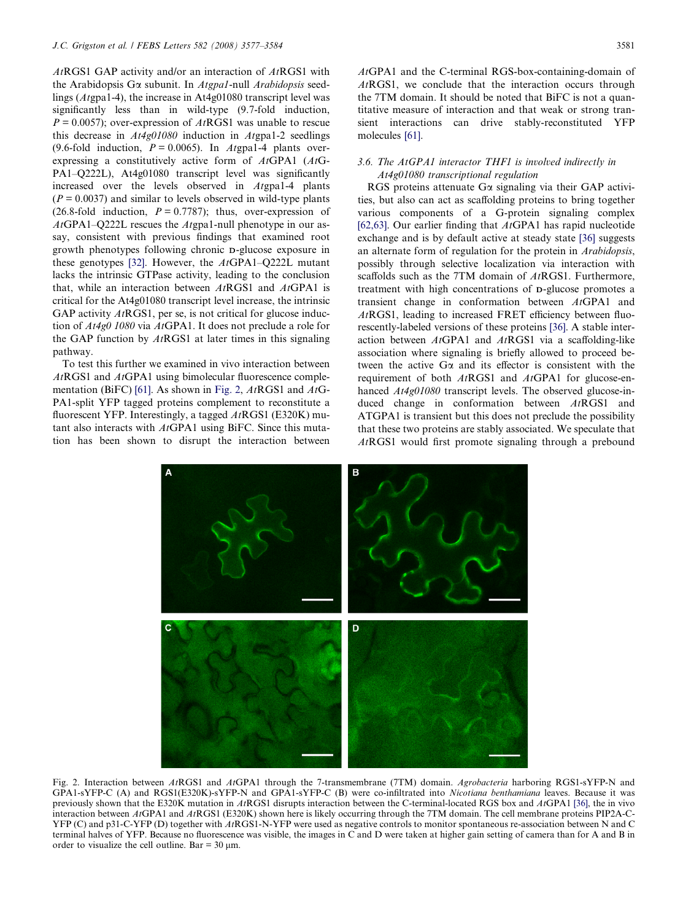$At RGS1 GAP$  activity and/or an interaction of  $At RGS1$  with the Arabidopsis G $\alpha$  subunit. In Atgpa1-null Arabidopsis seedlings (Atgpa1-4), the increase in At4g01080 transcript level was significantly less than in wild-type (9.7-fold induction,  $P = 0.0057$ ; over-expression of  $At<sub>R</sub>GS1$  was unable to rescue this decrease in  $At4g01080$  induction in  $Atg012$  seedlings (9.6-fold induction,  $P = 0.0065$ ). In Atgpa1-4 plants overexpressing a constitutively active form of AtGPA1 (AtG-PA1–Q222L), At4g01080 transcript level was significantly increased over the levels observed in Atgpa1-4 plants  $(P = 0.0037)$  and similar to levels observed in wild-type plants (26.8-fold induction,  $P = 0.7787$ ); thus, over-expression of  $AtGPA1-O222L$  rescues the  $Atgpa1-null$  phenotype in our assay, consistent with previous findings that examined root growth phenotypes following chronic D-glucose exposure in these genotypes [\[32\].](#page-7-0) However, the AtGPA1–Q222L mutant lacks the intrinsic GTPase activity, leading to the conclusion that, while an interaction between  $AtRGS1$  and  $AtGPA1$  is critical for the At4g01080 transcript level increase, the intrinsic GAP activity  $AtRGS1$ , per se, is not critical for glucose induction of At4g0 1080 via AtGPA1. It does not preclude a role for the GAP function by  $AtRGS1$  at later times in this signaling pathway.

To test this further we examined in vivo interaction between AtRGS1 and AtGPA1 using bimolecular fluorescence comple-mentation (BiFC) [\[61\]](#page-7-0). As shown in Fig. 2,  $AtRGS1$  and  $AtG-$ PA1-split YFP tagged proteins complement to reconstitute a fluorescent YFP. Interestingly, a tagged  $AtRGS1$  (E320K) mutant also interacts with AtGPA1 using BiFC. Since this mutation has been shown to disrupt the interaction between AtGPA1 and the C-terminal RGS-box-containing-domain of AtRGS1, we conclude that the interaction occurs through the 7TM domain. It should be noted that BiFC is not a quantitative measure of interaction and that weak or strong transient interactions can drive stably-reconstituted YFP molecules [\[61\].](#page-7-0)

# 3.6. The AtGPA1 interactor THF1 is involved indirectly in At4g01080 transcriptional regulation

RGS proteins attenuate G $\alpha$  signaling via their GAP activities, but also can act as scaffolding proteins to bring together various components of a G-protein signaling complex [\[62,63\].](#page-7-0) Our earlier finding that  $AtGPA1$  has rapid nucleotide exchange and is by default active at steady state [\[36\]](#page-7-0) suggests an alternate form of regulation for the protein in Arabidopsis, possibly through selective localization via interaction with scaffolds such as the 7TM domain of AtRGS1. Furthermore, treatment with high concentrations of D-glucose promotes a transient change in conformation between AtGPA1 and AtRGS1, leading to increased FRET efficiency between fluorescently-labeled versions of these proteins [\[36\].](#page-7-0) A stable interaction between  $AtGPA1$  and  $AtRGS1$  via a scaffolding-like association where signaling is briefly allowed to proceed between the active  $G\alpha$  and its effector is consistent with the requirement of both AtRGS1 and AtGPA1 for glucose-enhanced  $At4g01080$  transcript levels. The observed glucose-induced change in conformation between AtRGS1 and ATGPA1 is transient but this does not preclude the possibility that these two proteins are stably associated. We speculate that AtRGS1 would first promote signaling through a prebound



Fig. 2. Interaction between AtRGS1 and AtGPA1 through the 7-transmembrane (7TM) domain. Agrobacteria harboring RGS1-sYFP-N and GPA1-sYFP-C (A) and RGS1(E320K)-sYFP-N and GPA1-sYFP-C (B) were co-infiltrated into Nicotiana benthamiana leaves. Because it was previously shown that the E320K mutation in AtRGS1 disrupts interaction between the C-terminal-located RGS box and AtGPA1 [\[36\],](#page-7-0) the in vivo interaction between AtGPA1 and AtRGS1 (E320K) shown here is likely occurring through the 7TM domain. The cell membrane proteins PIP2A-C-YFP (C) and p31-C-YFP (D) together with AtRGS1-N-YFP were used as negative controls to monitor spontaneous re-association between N and C terminal halves of YFP. Because no fluorescence was visible, the images in C and D were taken at higher gain setting of camera than for A and B in order to visualize the cell outline. Bar =  $30 \mu$ m.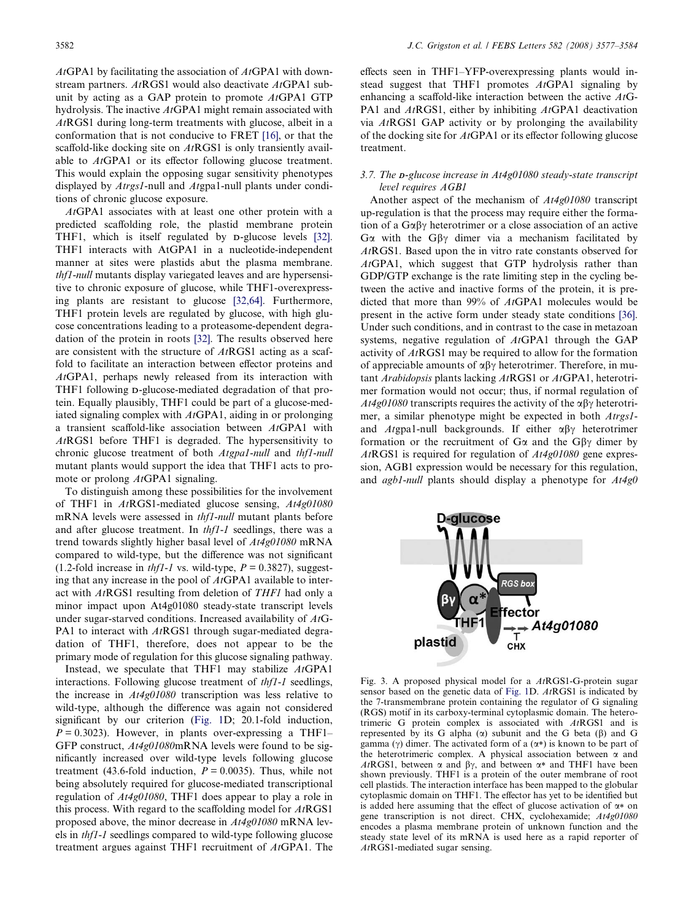<span id="page-5-0"></span> $AtGPA1$  by facilitating the association of  $AtGPA1$  with downstream partners. AtRGS1 would also deactivate AtGPA1 subunit by acting as a GAP protein to promote AtGPA1 GTP hydrolysis. The inactive AtGPA1 might remain associated with AtRGS1 during long-term treatments with glucose, albeit in a conformation that is not conducive to FRET [\[16\],](#page-6-0) or that the scaffold-like docking site on AtRGS1 is only transiently available to AtGPA1 or its effector following glucose treatment. This would explain the opposing sugar sensitivity phenotypes displayed by Atrgs1-null and Atgpa1-null plants under conditions of chronic glucose exposure.

AtGPA1 associates with at least one other protein with a predicted scaffolding role, the plastid membrane protein THF1, which is itself regulated by D-glucose levels [\[32\]](#page-7-0). THF1 interacts with AtGPA1 in a nucleotide-independent manner at sites were plastids abut the plasma membrane. thf1-null mutants display variegated leaves and are hypersensitive to chronic exposure of glucose, while THF1-overexpressing plants are resistant to glucose [\[32,64\]](#page-7-0). Furthermore, THF1 protein levels are regulated by glucose, with high glucose concentrations leading to a proteasome-dependent degradation of the protein in roots [\[32\]](#page-7-0). The results observed here are consistent with the structure of AtRGS1 acting as a scaffold to facilitate an interaction between effector proteins and AtGPA1, perhaps newly released from its interaction with THF1 following D-glucose-mediated degradation of that protein. Equally plausibly, THF1 could be part of a glucose-mediated signaling complex with  $AtGPA1$ , aiding in or prolonging a transient scaffold-like association between AtGPA1 with AtRGS1 before THF1 is degraded. The hypersensitivity to chronic glucose treatment of both Atgpa1-null and thf1-null mutant plants would support the idea that THF1 acts to promote or prolong *AtGPA1* signaling.

To distinguish among these possibilities for the involvement of THF1 in AtRGS1-mediated glucose sensing, At4g01080 mRNA levels were assessed in thf1-null mutant plants before and after glucose treatment. In thf1-1 seedlings, there was a trend towards slightly higher basal level of At4g01080 mRNA compared to wild-type, but the difference was not significant (1.2-fold increase in *thf1-1* vs. wild-type,  $P = 0.3827$ ), suggesting that any increase in the pool of AtGPA1 available to interact with AtRGS1 resulting from deletion of THF1 had only a minor impact upon At4g01080 steady-state transcript levels under sugar-starved conditions. Increased availability of AtG-PA1 to interact with AtRGS1 through sugar-mediated degradation of THF1, therefore, does not appear to be the primary mode of regulation for this glucose signaling pathway.

Instead, we speculate that THF1 may stabilize AtGPA1 interactions. Following glucose treatment of thf1-1 seedlings, the increase in At4g01080 transcription was less relative to wild-type, although the difference was again not considered significant by our criterion [\(Fig. 1D](#page-1-0); 20.1-fold induction,  $P = 0.3023$ . However, in plants over-expressing a THF1– GFP construct,  $At4g01080$ mRNA levels were found to be significantly increased over wild-type levels following glucose treatment (43.6-fold induction,  $P = 0.0035$ ). Thus, while not being absolutely required for glucose-mediated transcriptional regulation of At4g01080, THF1 does appear to play a role in this process. With regard to the scaffolding model for  $AtRGS1$ proposed above, the minor decrease in At4g01080 mRNA levels in thf1-1 seedlings compared to wild-type following glucose treatment argues against THF1 recruitment of AtGPA1. The effects seen in THF1–YFP-overexpressing plants would instead suggest that THF1 promotes AtGPA1 signaling by enhancing a scaffold-like interaction between the active AtG-PA1 and AtRGS1, either by inhibiting AtGPA1 deactivation via AtRGS1 GAP activity or by prolonging the availability of the docking site for AtGPA1 or its effector following glucose treatment.

# 3.7. The D-glucose increase in At4g01080 steady-state transcript level requires AGB1

Another aspect of the mechanism of At4g01080 transcript up-regulation is that the process may require either the formation of a  $G\alpha\beta\gamma$  heterotrimer or a close association of an active G $\alpha$  with the G $\beta\gamma$  dimer via a mechanism facilitated by AtRGS1. Based upon the in vitro rate constants observed for AtGPA1, which suggest that GTP hydrolysis rather than GDP/GTP exchange is the rate limiting step in the cycling between the active and inactive forms of the protein, it is predicted that more than 99% of AtGPA1 molecules would be present in the active form under steady state conditions [\[36\]](#page-7-0). Under such conditions, and in contrast to the case in metazoan systems, negative regulation of AtGPA1 through the GAP activity of AtRGS1 may be required to allow for the formation of appreciable amounts of  $\alpha\beta\gamma$  heterotrimer. Therefore, in mutant Arabidopsis plants lacking AtRGS1 or AtGPA1, heterotrimer formation would not occur; thus, if normal regulation of  $At4g01080$  transcripts requires the activity of the  $\alpha\beta\gamma$  heterotrimer, a similar phenotype might be expected in both Atrgs1 and Atgpa1-null backgrounds. If either  $\alpha\beta\gamma$  heterotrimer formation or the recruitment of  $G\alpha$  and the  $G\beta\gamma$  dimer by AtRGS1 is required for regulation of At4g01080 gene expression, AGB1 expression would be necessary for this regulation, and *agb1-null* plants should display a phenotype for  $At4g0$ 



Fig. 3. A proposed physical model for a AtRGS1-G-protein sugar sensor based on the genetic data of [Fig. 1](#page-1-0)D. AtRGS1 is indicated by the 7-transmembrane protein containing the regulator of G signaling (RGS) motif in its carboxy-terminal cytoplasmic domain. The heterotrimeric G protein complex is associated with AtRGS1 and is represented by its G alpha  $(\alpha)$  subunit and the G beta  $(\beta)$  and G gamma ( $\gamma$ ) dimer. The activated form of a ( $\alpha$ \*) is known to be part of the heterotrimeric complex. A physical association between  $\alpha$  and AtRGS1, between  $\alpha$  and  $\beta\gamma$ , and between  $\alpha$ <sup>\*</sup> and THF1 have been shown previously. THF1 is a protein of the outer membrane of root cell plastids. The interaction interface has been mapped to the globular cytoplasmic domain on THF1. The effector has yet to be identified but is added here assuming that the effect of glucose activation of  $\alpha$ <sup>\*</sup> on gene transcription is not direct. CHX, cyclohexamide; At4g01080 encodes a plasma membrane protein of unknown function and the steady state level of its mRNA is used here as a rapid reporter of AtRGS1-mediated sugar sensing.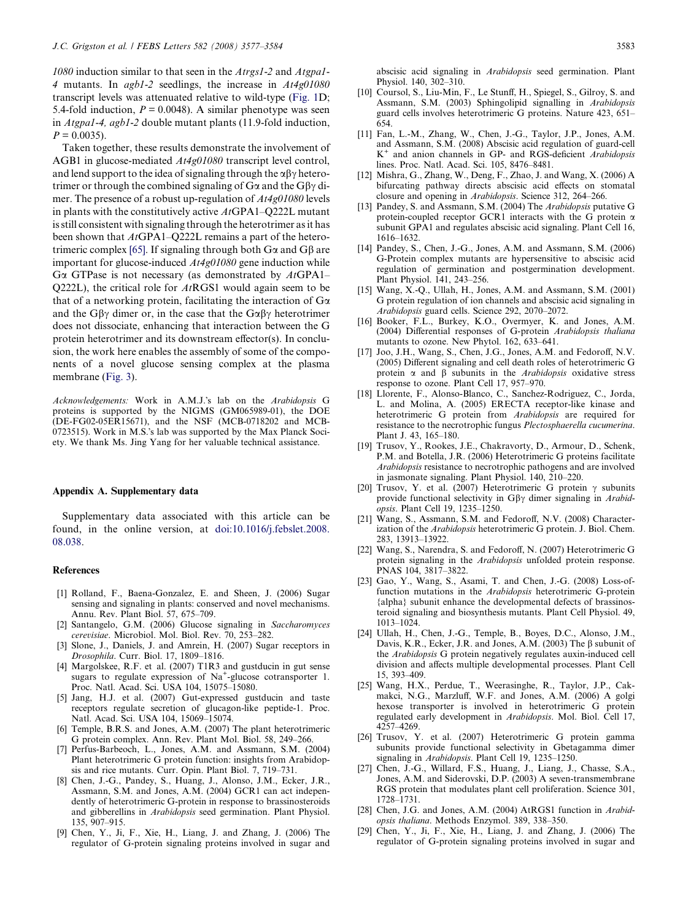<span id="page-6-0"></span>1080 induction similar to that seen in the Atrgs1-2 and Atgpa1- 4 mutants. In agb1-2 seedlings, the increase in At4g01080 transcript levels was attenuated relative to wild-type [\(Fig. 1D](#page-1-0); 5.4-fold induction,  $P = 0.0048$ ). A similar phenotype was seen in Atgpa1-4, agb1-2 double mutant plants (11.9-fold induction,  $P = 0.0035$ .

Taken together, these results demonstrate the involvement of AGB1 in glucose-mediated At4g01080 transcript level control, and lend support to the idea of signaling through the  $\alpha\beta\gamma$  heterotrimer or through the combined signaling of  $G\alpha$  and the  $G\beta\gamma$  dimer. The presence of a robust up-regulation of  $At4g01080$  levels in plants with the constitutively active  $AtGPA1-O222L$  mutant is still consistent with signaling through the heterotrimer as it has been shown that  $AtGPA1-Q222L$  remains a part of the hetero-trimeric complex [\[65\]](#page-7-0). If signaling through both  $G\alpha$  and  $G\beta$  are important for glucose-induced  $At4g01080$  gene induction while G $\alpha$  GTPase is not necessary (as demonstrated by AtGPA1– Q222L), the critical role for  $AtRGS1$  would again seem to be that of a networking protein, facilitating the interaction of  $G\alpha$ and the G $\beta\gamma$  dimer or, in the case that the G $\alpha\beta\gamma$  heterotrimer does not dissociate, enhancing that interaction between the G protein heterotrimer and its downstream effector(s). In conclusion, the work here enables the assembly of some of the components of a novel glucose sensing complex at the plasma membrane [\(Fig. 3](#page-5-0)).

Acknowledgements: Work in A.M.J.'s lab on the Arabidopsis G proteins is supported by the NIGMS (GM065989-01), the DOE (DE-FG02-05ER15671), and the NSF (MCB-0718202 and MCB-0723515). Work in M.S.'s lab was supported by the Max Planck Society. We thank Ms. Jing Yang for her valuable technical assistance.

### Appendix A. Supplementary data

Supplementary data associated with this article can be found, in the online version, at [doi:10.1016/j.febslet.2008.](http://dx.doi.org/10.1016/j.febslet.2008.08.038) [08.038](http://dx.doi.org/10.1016/j.febslet.2008.08.038).

#### **References**

- [1] Rolland, F., Baena-Gonzalez, E. and Sheen, J. (2006) Sugar sensing and signaling in plants: conserved and novel mechanisms. Annu. Rev. Plant Biol. 57, 675–709.
- [2] Santangelo, G.M. (2006) Glucose signaling in Saccharomyces cerevisiae. Microbiol. Mol. Biol. Rev. 70, 253–282.
- [3] Slone, J., Daniels, J. and Amrein, H. (2007) Sugar receptors in Drosophila. Curr. Biol. 17, 1809–1816.
- [4] Margolskee, R.F. et al. (2007) T1R3 and gustducin in gut sense sugars to regulate expression of Na<sup>+</sup>-glucose cotransporter 1. Proc. Natl. Acad. Sci. USA 104, 15075–15080.
- [5] Jang, H.J. et al. (2007) Gut-expressed gustducin and taste receptors regulate secretion of glucagon-like peptide-1. Proc. Natl. Acad. Sci. USA 104, 15069–15074.
- [6] Temple, B.R.S. and Jones, A.M. (2007) The plant heterotrimeric G protein complex. Ann. Rev. Plant Mol. Biol. 58, 249–266.
- [7] Perfus-Barbeoch, L., Jones, A.M. and Assmann, S.M. (2004) Plant heterotrimeric G protein function: insights from Arabidopsis and rice mutants. Curr. Opin. Plant Biol. 7, 719–731.
- [8] Chen, J.-G., Pandey, S., Huang, J., Alonso, J.M., Ecker, J.R., Assmann, S.M. and Jones, A.M. (2004) GCR1 can act independently of heterotrimeric G-protein in response to brassinosteroids and gibberellins in Arabidopsis seed germination. Plant Physiol. 135, 907–915.
- [9] Chen, Y., Ji, F., Xie, H., Liang, J. and Zhang, J. (2006) The regulator of G-protein signaling proteins involved in sugar and

abscisic acid signaling in Arabidopsis seed germination. Plant Physiol. 140, 302–310.

- [10] Coursol, S., Liu-Min, F., Le Stunff, H., Spiegel, S., Gilroy, S. and Assmann, S.M. (2003) Sphingolipid signalling in Arabidopsis guard cells involves heterotrimeric G proteins. Nature 423, 651– 654.
- [11] Fan, L.-M., Zhang, W., Chen, J.-G., Taylor, J.P., Jones, A.M. and Assmann, S.M. (2008) Abscisic acid regulation of guard-cell  $K^+$  and anion channels in GP- and RGS-deficient Arabidopsis lines. Proc. Natl. Acad. Sci. 105, 8476–8481.
- [12] Mishra, G., Zhang, W., Deng, F., Zhao, J. and Wang, X. (2006) A bifurcating pathway directs abscisic acid effects on stomatal closure and opening in Arabidopsis. Science 312, 264–266.
- [13] Pandey, S. and Assmann, S.M. (2004) The Arabidopsis putative G protein-coupled receptor GCR1 interacts with the G protein  $\alpha$ subunit GPA1 and regulates abscisic acid signaling. Plant Cell 16, 1616–1632.
- [14] Pandey, S., Chen, J.-G., Jones, A.M. and Assmann, S.M. (2006) G-Protein complex mutants are hypersensitive to abscisic acid regulation of germination and postgermination development. Plant Physiol. 141, 243–256.
- [15] Wang, X.-Q., Ullah, H., Jones, A.M. and Assmann, S.M. (2001) G protein regulation of ion channels and abscisic acid signaling in Arabidopsis guard cells. Science 292, 2070–2072.
- [16] Booker, F.L., Burkey, K.O., Overmyer, K. and Jones, A.M. (2004) Differential responses of G-protein Arabidopsis thaliana mutants to ozone. New Phytol. 162, 633–641.
- [17] Joo, J.H., Wang, S., Chen, J.G., Jones, A.M. and Fedoroff, N.V. (2005) Different signaling and cell death roles of heterotrimeric G protein  $\alpha$  and  $\beta$  subunits in the *Arabidopsis* oxidative stress response to ozone. Plant Cell 17, 957–970.
- [18] Llorente, F., Alonso-Blanco, C., Sanchez-Rodriguez, C., Jorda, L. and Molina, A. (2005) ERECTA receptor-like kinase and heterotrimeric G protein from Arabidopsis are required for resistance to the necrotrophic fungus Plectosphaerella cucumerina. Plant J. 43, 165–180.
- [19] Trusov, Y., Rookes, J.E., Chakravorty, D., Armour, D., Schenk, P.M. and Botella, J.R. (2006) Heterotrimeric G proteins facilitate Arabidopsis resistance to necrotrophic pathogens and are involved in jasmonate signaling. Plant Physiol. 140, 210–220.
- [20] Trusov, Y. et al. (2007) Heterotrimeric G protein  $\gamma$  subunits provide functional selectivity in  $G\beta\gamma$  dimer signaling in Arabidopsis. Plant Cell 19, 1235–1250.
- [21] Wang, S., Assmann, S.M. and Fedoroff, N.V. (2008) Characterization of the Arabidopsis heterotrimeric G protein. J. Biol. Chem. 283, 13913–13922.
- [22] Wang, S., Narendra, S. and Fedoroff, N. (2007) Heterotrimeric G protein signaling in the Arabidopsis unfolded protein response. PNAS 104, 3817–3822.
- [23] Gao, Y., Wang, S., Asami, T. and Chen, J.-G. (2008) Loss-offunction mutations in the Arabidopsis heterotrimeric G-protein {alpha} subunit enhance the developmental defects of brassinosteroid signaling and biosynthesis mutants. Plant Cell Physiol. 49, 1013–1024.
- [24] Ullah, H., Chen, J.-G., Temple, B., Boyes, D.C., Alonso, J.M., Davis, K.R., Ecker, J.R. and Jones, A.M. (2003) The  $\beta$  subunit of the Arabidopsis G protein negatively regulates auxin-induced cell division and affects multiple developmental processes. Plant Cell 15, 393–409.
- [25] Wang, H.X., Perdue, T., Weerasinghe, R., Taylor, J.P., Cakmakci, N.G., Marzluff, W.F. and Jones, A.M. (2006) A golgi hexose transporter is involved in heterotrimeric G protein regulated early development in Arabidopsis. Mol. Biol. Cell 17, 4257–4269.
- [26] Trusov, Y. et al. (2007) Heterotrimeric G protein gamma subunits provide functional selectivity in Gbetagamma dimer signaling in Arabidopsis. Plant Cell 19, 1235-1250.
- [27] Chen, J.-G., Willard, F.S., Huang, J., Liang, J., Chasse, S.A., Jones, A.M. and Siderovski, D.P. (2003) A seven-transmembrane RGS protein that modulates plant cell proliferation. Science 301, 1728–1731.
- [28] Chen, J.G. and Jones, A.M. (2004) AtRGS1 function in Arabidopsis thaliana. Methods Enzymol. 389, 338–350.
- [29] Chen, Y., Ji, F., Xie, H., Liang, J. and Zhang, J. (2006) The regulator of G-protein signaling proteins involved in sugar and